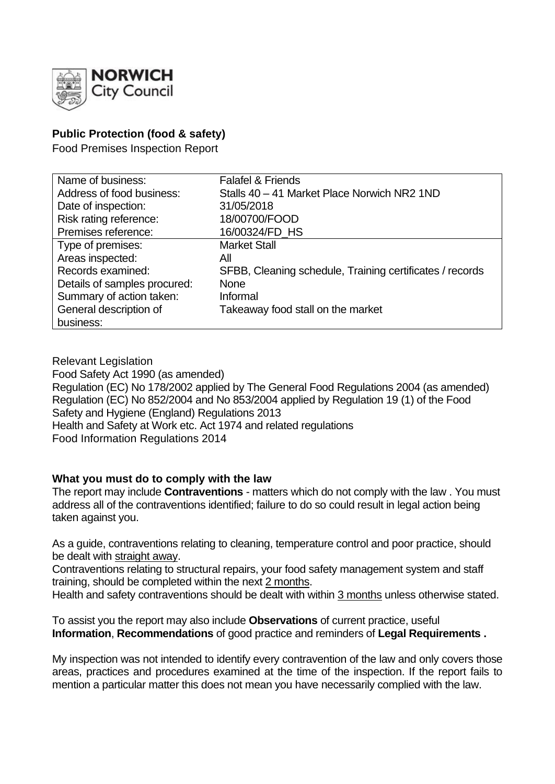

# **Public Protection (food & safety)**

Food Premises Inspection Report

| Name of business:            | <b>Falafel &amp; Friends</b>                             |
|------------------------------|----------------------------------------------------------|
| Address of food business:    | Stalls 40 - 41 Market Place Norwich NR2 1ND              |
| Date of inspection:          | 31/05/2018                                               |
| Risk rating reference:       | 18/00700/FOOD                                            |
| Premises reference:          | 16/00324/FD_HS                                           |
| Type of premises:            | <b>Market Stall</b>                                      |
| Areas inspected:             | All                                                      |
| Records examined:            | SFBB, Cleaning schedule, Training certificates / records |
| Details of samples procured: | <b>None</b>                                              |
| Summary of action taken:     | Informal                                                 |
| General description of       | Takeaway food stall on the market                        |
| business:                    |                                                          |

Relevant Legislation Food Safety Act 1990 (as amended) Regulation (EC) No 178/2002 applied by The General Food Regulations 2004 (as amended) Regulation (EC) No 852/2004 and No 853/2004 applied by Regulation 19 (1) of the Food Safety and Hygiene (England) Regulations 2013 Health and Safety at Work etc. Act 1974 and related regulations Food Information Regulations 2014

### **What you must do to comply with the law**

The report may include **Contraventions** - matters which do not comply with the law . You must address all of the contraventions identified; failure to do so could result in legal action being taken against you.

As a guide, contraventions relating to cleaning, temperature control and poor practice, should be dealt with straight away.

Contraventions relating to structural repairs, your food safety management system and staff training, should be completed within the next 2 months.

Health and safety contraventions should be dealt with within 3 months unless otherwise stated.

To assist you the report may also include **Observations** of current practice, useful **Information**, **Recommendations** of good practice and reminders of **Legal Requirements .**

My inspection was not intended to identify every contravention of the law and only covers those areas, practices and procedures examined at the time of the inspection. If the report fails to mention a particular matter this does not mean you have necessarily complied with the law.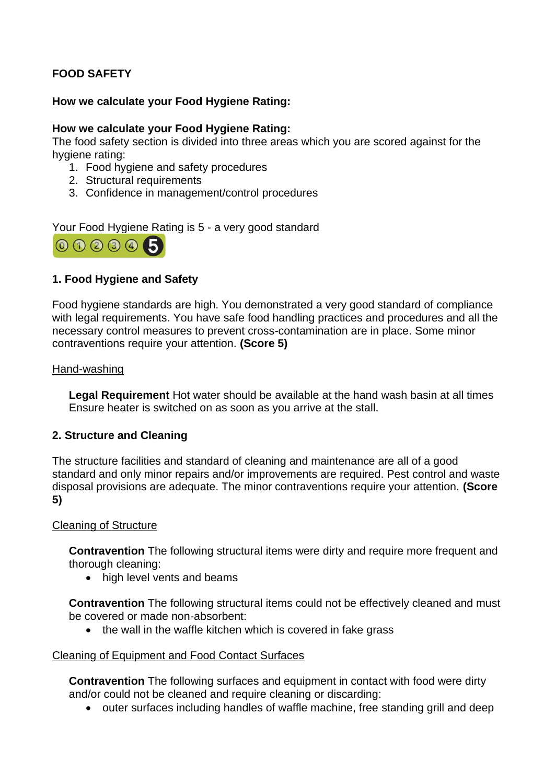# **FOOD SAFETY**

### **How we calculate your Food Hygiene Rating:**

#### **How we calculate your Food Hygiene Rating:**

The food safety section is divided into three areas which you are scored against for the hygiene rating:

- 1. Food hygiene and safety procedures
- 2. Structural requirements
- 3. Confidence in management/control procedures

Your Food Hygiene Rating is 5 - a very good standard



### **1. Food Hygiene and Safety**

Food hygiene standards are high. You demonstrated a very good standard of compliance with legal requirements. You have safe food handling practices and procedures and all the necessary control measures to prevent cross-contamination are in place. Some minor contraventions require your attention. **(Score 5)**

#### Hand-washing

**Legal Requirement** Hot water should be available at the hand wash basin at all times Ensure heater is switched on as soon as you arrive at the stall.

### **2. Structure and Cleaning**

The structure facilities and standard of cleaning and maintenance are all of a good standard and only minor repairs and/or improvements are required. Pest control and waste disposal provisions are adequate. The minor contraventions require your attention. **(Score 5)**

#### Cleaning of Structure

**Contravention** The following structural items were dirty and require more frequent and thorough cleaning:

• high level vents and beams

**Contravention** The following structural items could not be effectively cleaned and must be covered or made non-absorbent:

• the wall in the waffle kitchen which is covered in fake grass

#### Cleaning of Equipment and Food Contact Surfaces

**Contravention** The following surfaces and equipment in contact with food were dirty and/or could not be cleaned and require cleaning or discarding:

• outer surfaces including handles of waffle machine, free standing grill and deep